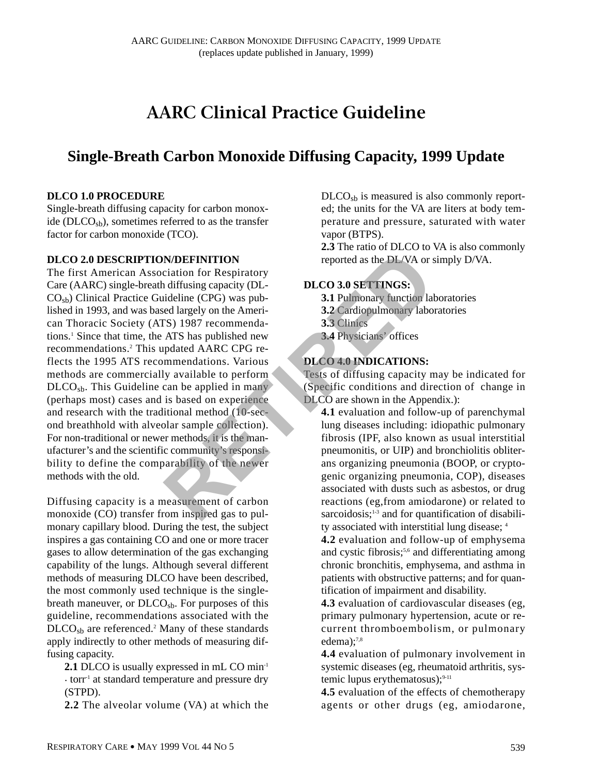# **AARC Clinical Practice Guideline**

## **Single-Breath Carbon Monoxide Diffusing Capacity, 1999 Update**

## **DLCO 1.0 PROCEDURE**

Single-breath diffusing capacity for carbon monoxide ( $D<sub>th</sub>$ ), sometimes referred to as the transfer factor for carbon monoxide (TCO).

#### **DLCO 2.0 DESCRIPTION/DEFINITION**

The first American Association for Respiratory Care (AARC) single-breath diffusing capacity (DL- $CO<sub>sb</sub>$ ) Clinical Practice Guideline (CPG) was published in 1993, and was based largely on the American Thoracic Society (ATS) 1987 recommendations.1 Since that time, the ATS has published new recommendations.2 This updated AARC CPG reflects the 1995 ATS recommendations. Various methods are commercially available to perform  $D<sub>2</sub>$ , DLCO<sub>sb</sub>. This Guideline can be applied in many (perhaps most) cases and is based on experience and research with the traditional method (10-second breathhold with alveolar sample collection). For non-traditional or newer methods, it is the manufacturer's and the scientific community's responsibility to define the comparability of the newer methods with the old. **REFINITION**<br>
COLO TO TRESPAND EXECUTION EXECUTION EXECUTION EXECUTION EXECUTION EXECUTION EXECUTION AND INCOLL INCO 3.0 **SETTINGS:**<br>
EXECUTION AMELY ON A SUBSECUTION AND INDIVIDUAL ATS has published new and a signal of th

Diffusing capacity is a measurement of carbon monoxide (CO) transfer from inspired gas to pulmonary capillary blood. During the test, the subject inspires a gas containing CO and one or more tracer gases to allow determination of the gas exchanging capability of the lungs. Although several different methods of measuring DLCO have been described, the most commonly used technique is the singlebreath maneuver, or  $D<sub>ch</sub>$ . For purposes of this guideline, recommendations associated with the DLCO<sub>sb</sub> are referenced.<sup>2</sup> Many of these standards apply indirectly to other methods of measuring diffusing capacity.

**2.1** DLCO is usually expressed in mL CO min-1  $\cdot$  torr<sup>1</sup> at standard temperature and pressure dry (STPD).

**2.2** The alveolar volume (VA) at which the

 $D<sub>LO<sub>sb</sub></sub>$  is measured is also commonly reported; the units for the VA are liters at body temperature and pressure, saturated with water vapor (BTPS).

**2.3** The ratio of DLCO to VA is also commonly reported as the DL/VA or simply D/VA.

## **DLCO 3.0 SETTINGS:**

- **3.1** Pulmonary function laboratories
- **3.2** Cardiopulmonary laboratories
- **3.3** Clinics
- **3.4** Physicians' offices

## **DLCO 4.0 INDICATIONS:**

Tests of diffusing capacity may be indicated for (Specific conditions and direction of change in DLCO are shown in the Appendix.):

**4.1** evaluation and follow-up of parenchymal lung diseases including: idiopathic pulmonary fibrosis (IPF, also known as usual interstitial pneumonitis, or UIP) and bronchiolitis obliterans organizing pneumonia (BOOP, or cryptogenic organizing pneumonia, COP), diseases associated with dusts such as asbestos, or drug reactions (eg,from amiodarone) or related to sarcoidosis;<sup>1-3</sup> and for quantification of disability associated with interstitial lung disease; 4

**4.2** evaluation and follow-up of emphysema and cystic fibrosis;<sup>5,6</sup> and differentiating among chronic bronchitis, emphysema, and asthma in patients with obstructive patterns; and for quantification of impairment and disability.

**4.3** evaluation of cardiovascular diseases (eg, primary pulmonary hypertension, acute or recurrent thromboembolism, or pulmonary edema); $^{7,8}$ 

**4.4** evaluation of pulmonary involvement in systemic diseases (eg, rheumatoid arthritis, systemic lupus erythematosus); $9-11$ 

**4.5** evaluation of the effects of chemotherapy agents or other drugs (eg, amiodarone,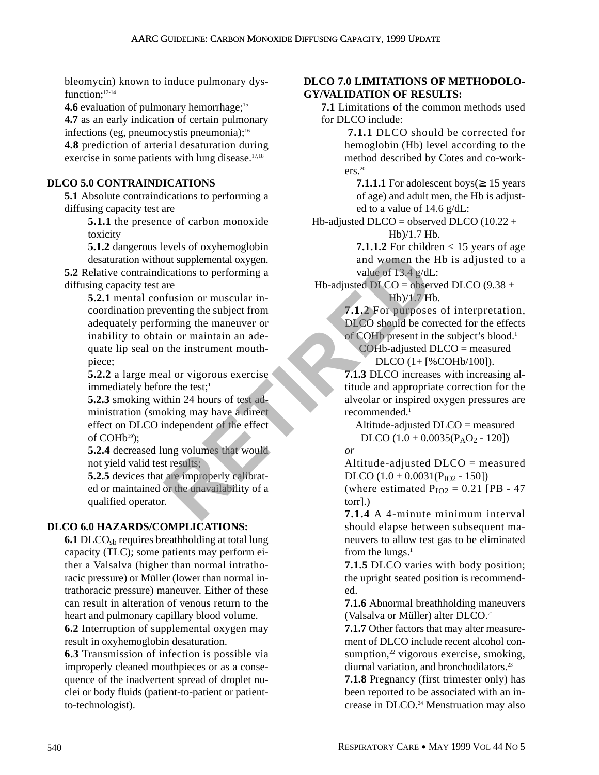bleomycin) known to induce pulmonary dysfunction:<sup>12-14</sup>

**4.6** evaluation of pulmonary hemorrhage;<sup>15</sup>

**4.7** as an early indication of certain pulmonary infections (eg, pneumocystis pneumonia);<sup>16</sup>

**4.8** prediction of arterial desaturation during exercise in some patients with lung disease. $17,18$ 

## **DLCO 5.0 CONTRAINDICATIONS**

**5.1** Absolute contraindications to performing a diffusing capacity test are

> **5.1.1** the presence of carbon monoxide toxicity

> **5.1.2** dangerous levels of oxyhemoglobin desaturation without supplemental oxygen.

**5.2** Relative contraindications to performing a diffusing capacity test are

**5.2.1** mental confusion or muscular incoordination preventing the subject from adequately performing the maneuver or inability to obtain or maintain an adequate lip seal on the instrument mouthpiece; Fractions to performing a<br>
ications to performing a<br>
ications to performing a<br>
The adjusted DLCO = obser<br>
Integral or muscular in-<br>
Wenting the subject from<br>
The adjusted DLCO = obser<br>
ID/1.7 Ht<br>
venting the subject from<br>

**5.2.2** a large meal or vigorous exercise immediately before the test;<sup>1</sup>

**5.2.3** smoking within 24 hours of test administration (smoking may have a direct effect on DLCO independent of the effect of COHb<sup>19</sup>);

**5.2.4** decreased lung volumes that would not yield valid test results;

**5.2.5** devices that are improperly calibrated or maintained or the unavailability of a qualified operator.

## **DLCO 6.0 HAZARDS/COMPLICATIONS:**

**6.1** DLCO<sub>sh</sub> requires breathholding at total lung capacity (TLC); some patients may perform either a Valsalva (higher than normal intrathoracic pressure) or Müller (lower than normal intrathoracic pressure) maneuver. Either of these can result in alteration of venous return to the heart and pulmonary capillary blood volume.

**6.2** Interruption of supplemental oxygen may result in oxyhemoglobin desaturation.

**6.3** Transmission of infection is possible via improperly cleaned mouthpieces or as a consequence of the inadvertent spread of droplet nuclei or body fluids (patient-to-patient or patientto-technologist).

#### **DLCO 7.0 LIMITATIONS OF METHODOLO-GY/VALIDATION OF RESULTS:**

**7.1** Limitations of the common methods used for DLCO include:

> **7.1.1** DLCO should be corrected for hemoglobin (Hb) level according to the method described by Cotes and co-workers $20$

**7.1.1.1** For adolescent boys( $\geq 15$  years of age) and adult men, the Hb is adjusted to a value of 14.6 g/dL:

Hb-adjusted DLCO = observed DLCO  $(10.22 +$ Hb)/1.7 Hb.

> **7.1.1.2** For children  $<$  15 years of age and women the Hb is adjusted to a value of 13.4 g/dL:

Hb-adjusted  $D<sub>LO</sub>$  = observed DLCO (9.38 + Hb)/1.7 Hb.

> **7.1.2** For purposes of interpretation, DLCO should be corrected for the effects of COHb present in the subject's blood.1

 $COHb$ -adjusted  $D<sub>LO</sub>$  = measured DLCO (1+ [%COHb/100]).

**7.1.3** DLCO increases with increasing altitude and appropriate correction for the alveolar or inspired oxygen pressures are recommended.1

Altitude-adjusted DLCO = measured DLCO  $(1.0 + 0.0035(P_AO_2 - 120))$ 

*or*

Altitude-adjusted DLCO = measured DLCO  $(1.0 + 0.0031(P<sub>IO2</sub> - 150])$ 

(where estimated  $P_{IO2} = 0.21$  [PB - 47 torr].)

**7.1.4** A 4-minute minimum interval should elapse between subsequent maneuvers to allow test gas to be eliminated from the lungs. $1$ 

**7.1.5** DLCO varies with body position; the upright seated position is recommended.

**7.1.6** Abnormal breathholding maneuvers (Valsalva or Müller) alter DLCO.<sup>21</sup>

**7.1.7** Other factors that may alter measurement of DLCO include recent alcohol consumption, $22$  vigorous exercise, smoking, diurnal variation, and bronchodilators.<sup>23</sup>

**7.1.8** Pregnancy (first trimester only) has been reported to be associated with an increase in DLCO.<sup>24</sup> Menstruation may also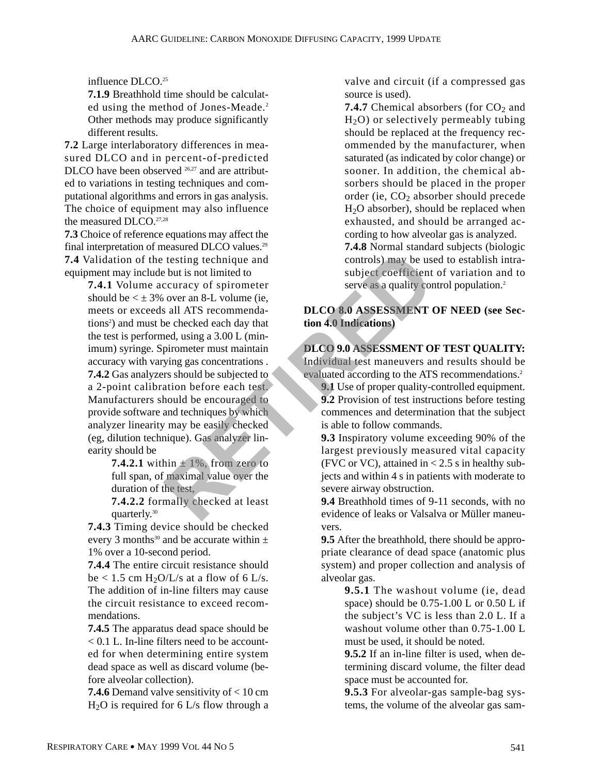influence DLCO.<sup>25</sup>

**7.1.9** Breathhold time should be calculated using the method of Jones-Meade.<sup>2</sup> Other methods may produce significantly different results.

**7.2** Large interlaboratory differences in measured DLCO and in percent-of-predicted DLCO have been observed <sup>26,27</sup> and are attributed to variations in testing techniques and computational algorithms and errors in gas analysis. The choice of equipment may also influence the measured DLCO.<sup>27,28</sup>

**7.3** Choice of reference equations may affect the final interpretation of measured DLCO values.29 **7.4** Validation of the testing technique and equipment may include but is not limited to

**7.4.1** Volume accuracy of spirometer should be  $\lt \pm 3\%$  over an 8-L volume (ie, meets or exceeds all ATS recommendations<sup>2</sup>) and must be checked each day that the test is performed, using a 3.00 L (minimum) syringe. Spirometer must maintain accuracy with varying gas concentrations . **7.4.2** Gas analyzers should be subjected to a 2-point calibration before each test. Manufacturers should be encouraged to provide software and techniques by which analyzer linearity may be easily checked (eg, dilution technique). Gas analyzer linearity should be Example the stating technique and<br>
but is not limited to<br>
but is not limited to<br>
couracy of spirometer<br>
over an 8-L volume (ie,<br>
sall ATS recommenda-<br>
but is not limited to<br>
e checked each day that<br>
tion 4.0 Indications)<br>

**7.4.2.1** within  $\pm$  1%, from zero to full span, of maximal value over the duration of the test,

**7.4.2.2** formally checked at least quarterly.30

**7.4.3** Timing device should be checked every 3 months<sup>30</sup> and be accurate within  $\pm$ 1% over a 10-second period.

**7.4.4** The entire circuit resistance should be  $< 1.5$  cm H<sub>2</sub>O/L/s at a flow of 6 L/s. The addition of in-line filters may cause the circuit resistance to exceed recommendations.

**7.4.5** The apparatus dead space should be < 0.1 L. In-line filters need to be accounted for when determining entire system dead space as well as discard volume (before alveolar collection).

**7.4.6** Demand valve sensitivity of < 10 cm  $H<sub>2</sub>O$  is required for 6 L/s flow through a

valve and circuit (if a compressed gas source is used).

**7.4.7** Chemical absorbers (for  $CO<sub>2</sub>$  and  $H<sub>2</sub>O$ ) or selectively permeably tubing should be replaced at the frequency recommended by the manufacturer, when saturated (as indicated by color change) or sooner. In addition, the chemical absorbers should be placed in the proper order (ie,  $CO<sub>2</sub>$  absorber should precede H2O absorber), should be replaced when exhausted, and should be arranged according to how alveolar gas is analyzed. **7.4.8** Normal standard subjects (biologic controls) may be used to establish intra-

subject coefficient of variation and to serve as a quality control population.<sup>2</sup>

## **DLCO 8.0 ASSESSMENT OF NEED (see Section 4.0 Indications)**

#### **DLCO 9.0 ASSESSMENT OF TEST QUALITY:** Individual test maneuvers and results should be

evaluated according to the ATS recommendations.<sup>2</sup>

**9.1** Use of proper quality-controlled equipment. **9.2** Provision of test instructions before testing commences and determination that the subject is able to follow commands.

**9.3** Inspiratory volume exceeding 90% of the largest previously measured vital capacity (FVC or VC), attained in  $< 2.5$  s in healthy subjects and within 4 s in patients with moderate to severe airway obstruction.

**9.4** Breathhold times of 9-11 seconds, with no evidence of leaks or Valsalva or Müller maneuvers.

**9.5** After the breathhold, there should be appropriate clearance of dead space (anatomic plus system) and proper collection and analysis of alveolar gas.

> **9.5.1** The washout volume (ie, dead space) should be  $0.75$ -1.00 L or  $0.50$  L if the subject's VC is less than 2.0 L. If a washout volume other than 0.75-1.00 L must be used, it should be noted.

**9.5.2** If an in-line filter is used, when determining discard volume, the filter dead space must be accounted for.

**9.5.3** For alveolar-gas sample-bag systems, the volume of the alveolar gas sam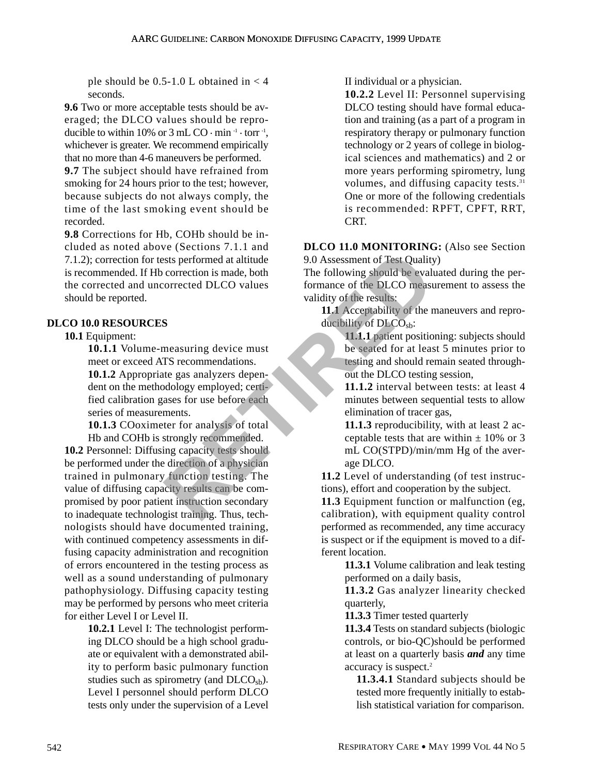ple should be  $0.5-1.0$  L obtained in  $< 4$ seconds.

**9.6** Two or more acceptable tests should be averaged; the DLCO values should be reproducible to within 10% or  $3 \text{ mL CO} \cdot \text{min}^{-1} \cdot \text{torr}^{-1}$ , whichever is greater. We recommend empirically that no more than 4-6 maneuvers be performed.

**9.7** The subject should have refrained from smoking for 24 hours prior to the test; however, because subjects do not always comply, the time of the last smoking event should be recorded.

**9.8** Corrections for Hb, COHb should be included as noted above (Sections 7.1.1 and 7.1.2); correction for tests performed at altitude is recommended. If Hb correction is made, both the corrected and uncorrected DLCO values should be reported.

## **DLCO 10.0 RESOURCES**

## **10.1** Equipment:

**10.1.1** Volume-measuring device must meet or exceed ATS recommendations.

**10.1.2** Appropriate gas analyzers dependent on the methodology employed; certified calibration gases for use before each series of measurements.

**10.1.3** COoximeter for analysis of total Hb and COHb is strongly recommended.

**10.2** Personnel: Diffusing capacity tests should be performed under the direction of a physician trained in pulmonary function testing. The value of diffusing capacity results can be compromised by poor patient instruction secondary to inadequate technologist training. Thus, technologists should have documented training, with continued competency assessments in diffusing capacity administration and recognition of errors encountered in the testing process as well as a sound understanding of pulmonary pathophysiology. Diffusing capacity testing may be performed by persons who meet criteria for either Level I or Level II. Extracted DLCO values<br>
State performed at altitude<br>
orrection is made, both<br>
orrection is made, both<br>
orrected DLCO values<br>
formance of the DLCO measuring should be evaluated<br>
orrected DLCO values<br>
orrected DLCO values<br>
or

**10.2.1** Level I: The technologist performing DLCO should be a high school graduate or equivalent with a demonstrated ability to perform basic pulmonary function studies such as spirometry (and  $D<sub>LO<sub>sh</sub></sub>$ ). Level I personnel should perform DLCO tests only under the supervision of a Level II individual or a physician.

**10.2.2** Level II: Personnel supervising DLCO testing should have formal education and training (as a part of a program in respiratory therapy or pulmonary function technology or 2 years of college in biological sciences and mathematics) and 2 or more years performing spirometry, lung volumes, and diffusing capacity tests.<sup>31</sup> One or more of the following credentials is recommended: RPFT, CPFT, RRT, CRT.

**DLCO 11.0 MONITORING:** (Also see Section 9.0 Assessment of Test Quality)

The following should be evaluated during the performance of the DLCO measurement to assess the validity of the results:

**11.1** Acceptability of the maneuvers and reproducibility of  $DECO<sub>sb</sub>$ :

> **11.1.1** patient positioning: subjects should be seated for at least 5 minutes prior to testing and should remain seated throughout the DLCO testing session,

> **11.1.2** interval between tests: at least 4 minutes between sequential tests to allow elimination of tracer gas,

> **11.1.3** reproducibility, with at least 2 acceptable tests that are within  $\pm$  10% or 3 mL CO(STPD)/min/mm Hg of the average DLCO.

**11.2** Level of understanding (of test instructions), effort and cooperation by the subject.

**11.3** Equipment function or malfunction (eg, calibration), with equipment quality control performed as recommended, any time accuracy is suspect or if the equipment is moved to a different location.

> **11.3.1** Volume calibration and leak testing performed on a daily basis,

> **11.3.2** Gas analyzer linearity checked quarterly,

**11.3.3** Timer tested quarterly

**11.3.4** Tests on standard subjects (biologic controls, or bio-QC)should be performed at least on a quarterly basis *and* any time accuracy is suspect.<sup>2</sup>

**11.3.4.1** Standard subjects should be tested more frequently initially to establish statistical variation for comparison.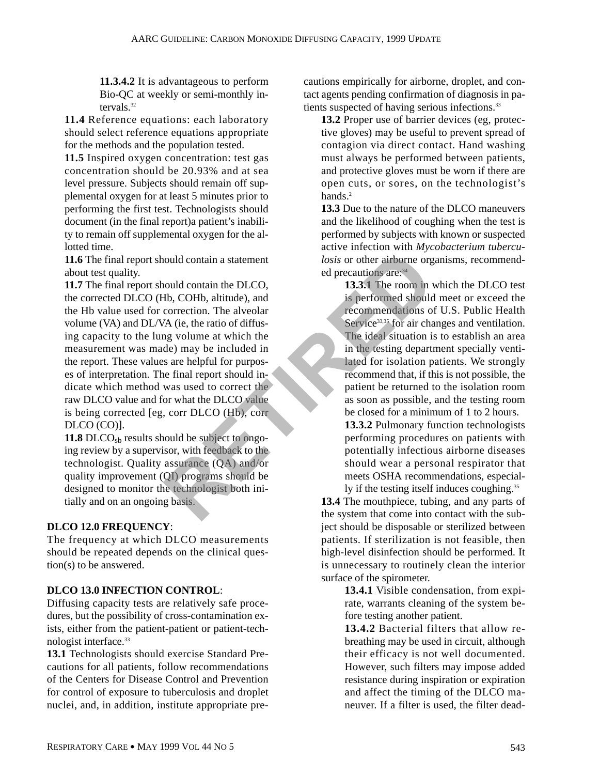**11.3.4.2** It is advantageous to perform Bio-QC at weekly or semi-monthly intervals.32

**11.4** Reference equations: each laboratory should select reference equations appropriate for the methods and the population tested.

**11.5** Inspired oxygen concentration: test gas concentration should be 20.93% and at sea level pressure. Subjects should remain off supplemental oxygen for at least 5 minutes prior to performing the first test. Technologists should document (in the final report)a patient's inability to remain off supplemental oxygen for the allotted time.

**11.6** The final report should contain a statement about test quality.

**11.7** The final report should contain the DLCO, the corrected DLCO (Hb, COHb, altitude), and the Hb value used for correction. The alveolar volume (VA) and DL/VA (ie, the ratio of diffusing capacity to the lung volume at which the measurement was made) may be included in the report. These values are helpful for purposes of interpretation. The final report should indicate which method was used to correct the raw DLCO value and for what the DLCO value is being corrected [eg, corr DLCO (Hb), corr DLCO (CO)]. Fraction and the DLCO,<br>
and the DLCO, the airbore organisms and the DLCO, the airbore organisms are:<br>
A (ie, the ratio of diffus-<br>
Service<sup>33,5</sup> for air change volume at which the<br>
a g volume at which the strained should r

**11.8** DLCO<sub>sb</sub> results should be subject to ongoing review by a supervisor, with feedback to the technologist. Quality assurance (QA) and/or quality improvement (QI) programs should be designed to monitor the technologist both initially and on an ongoing basis.

## **DLCO 12.0 FREQUENCY**:

The frequency at which DLCO measurements should be repeated depends on the clinical question(s) to be answered.

## **DLCO 13.0 INFECTION CONTROL**:

Diffusing capacity tests are relatively safe procedures, but the possibility of cross-contamination exists, either from the patient-patient or patient-technologist interface.33

**13.1** Technologists should exercise Standard Precautions for all patients, follow recommendations of the Centers for Disease Control and Prevention for control of exposure to tuberculosis and droplet nuclei, and, in addition, institute appropriate precautions empirically for airborne, droplet, and contact agents pending confirmation of diagnosis in patients suspected of having serious infections.<sup>33</sup>

**13.2** Proper use of barrier devices (eg, protective gloves) may be useful to prevent spread of contagion via direct contact. Hand washing must always be performed between patients, and protective gloves must be worn if there are open cuts, or sores, on the technologist's hands.<sup>2</sup>

**13.3** Due to the nature of the DLCO maneuvers and the likelihood of coughing when the test is performed by subjects with known or suspected active infection with *Mycobacterium tuberculosis* or other airborne organisms, recommended precautions are: 34

> **13.3.1** The room in which the DLCO test is performed should meet or exceed the recommendations of U.S. Public Health Service<sup>33,35</sup> for air changes and ventilation. The ideal situation is to establish an area in the testing department specially ventilated for isolation patients. We strongly recommend that, if this is not possible, the patient be returned to the isolation room as soon as possible, and the testing room be closed for a minimum of 1 to 2 hours.

> **13.3.2** Pulmonary function technologists performing procedures on patients with potentially infectious airborne diseases should wear a personal respirator that meets OSHA recommendations, especial-

ly if the testing itself induces coughing.<sup>35</sup> **13.4** The mouthpiece, tubing, and any parts of the system that come into contact with the subject should be disposable or sterilized between patients. If sterilization is not feasible, then high-level disinfection should be performed. It is unnecessary to routinely clean the interior surface of the spirometer.

**13.4.1** Visible condensation, from expirate, warrants cleaning of the system before testing another patient.

**13.4.2** Bacterial filters that allow rebreathing may be used in circuit, although their efficacy is not well documented. However, such filters may impose added resistance during inspiration or expiration and affect the timing of the DLCO maneuver. If a filter is used, the filter dead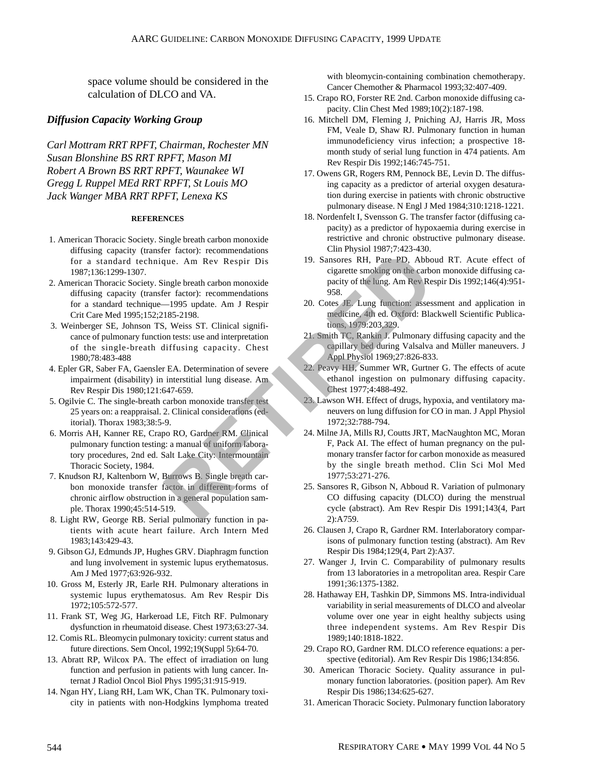space volume should be considered in the calculation of DLCO and VA.

#### *Diffusion Capacity Working Group*

*Carl Mottram RRT RPFT, Chairman, Rochester MN Susan Blonshine BS RRT RPFT, Mason MI Robert A Brown BS RRT RPFT, Waunakee WI Gregg L Ruppel MEd RRT RPFT, St Louis MO Jack Wanger MBA RRT RPFT, Lenexa KS*

#### **REFERENCES**

- 1. American Thoracic Society. Single breath carbon monoxide diffusing capacity (transfer factor): recommendations for a standard technique. Am Rev Respir Dis 1987;136:1299-1307.
- 2. American Thoracic Society. Single breath carbon monoxide diffusing capacity (transfer factor): recommendations for a standard technique—1995 update. Am J Respir Crit Care Med 1995;152;2185-2198.
- 3. Weinberger SE, Johnson TS, Weiss ST. Clinical significance of pulmonary function tests: use and interpretation of the single-breath diffusing capacity. Chest 1980;78:483-488
- 4. Epler GR, Saber FA, Gaensler EA. Determination of severe impairment (disability) in interstitial lung disease. Am Rev Respir Dis 1980;121:647-659.
- 5. Ogilvie C. The single-breath carbon monoxide transfer test 25 years on: a reappraisal. 2. Clinical considerations (editorial). Thorax 1983;38:5-9.
- 6. Morris AH, Kanner RE, Crapo RO, Gardner RM. Clinical pulmonary function testing: a manual of uniform laboratory procedures, 2nd ed. Salt Lake City: Intermountain Thoracic Society, 1984.
- 7. Knudson RJ, Kaltenborn W, Burrows B. Single breath carbon monoxide transfer factor in different forms of chronic airflow obstruction in a general population sample. Thorax 1990;45:514-519.
- 8. Light RW, George RB. Serial pulmonary function in patients with acute heart failure. Arch Intern Med 1983;143:429-43.
- 9. Gibson GJ, Edmunds JP, Hughes GRV. Diaphragm function and lung involvement in systemic lupus erythematosus. Am J Med 1977;63:926-932.
- 10. Gross M, Esterly JR, Earle RH. Pulmonary alterations in systemic lupus erythematosus. Am Rev Respir Dis 1972;105:572-577.
- 11. Frank ST, Weg JG, Harkeroad LE, Fitch RF. Pulmonary dysfunction in rheumatoid disease. Chest 1973;63:27-34.
- 12. Comis RL. Bleomycin pulmonary toxicity: current status and future directions. Sem Oncol, 1992;19(Suppl 5):64-70.
- 13. Abratt RP, Wilcox PA. The effect of irradiation on lung function and perfusion in patients with lung cancer. Internat J Radiol Oncol Biol Phys 1995;31:915-919.
- 14. Ngan HY, Liang RH, Lam WK, Chan TK. Pulmonary toxicity in patients with non-Hodgkins lymphoma treated

with bleomycin-containing combination chemotherapy. Cancer Chemother & Pharmacol 1993;32:407-409.

- 15. Crapo RO, Forster RE 2nd. Carbon monoxide diffusing capacity. Clin Chest Med 1989;10(2):187-198.
- 16. Mitchell DM, Fleming J, Pniching AJ, Harris JR, Moss FM, Veale D, Shaw RJ. Pulmonary function in human immunodeficiency virus infection; a prospective 18 month study of serial lung function in 474 patients. Am Rev Respir Dis 1992;146:745-751.
- 17. Owens GR, Rogers RM, Pennock BE, Levin D. The diffusing capacity as a predictor of arterial oxygen desaturation during exercise in patients with chronic obstructive pulmonary disease. N Engl J Med 1984;310:1218-1221.
- 18. Nordenfelt I, Svensson G. The transfer factor (diffusing capacity) as a predictor of hypoxaemia during exercise in restrictive and chronic obstructive pulmonary disease. Clin Physiol 1987;7:423-430.
- 19. Sansores RH, Pare PD, Abboud RT. Acute effect of cigarette smoking on the carbon monoxide diffusing capacity of the lung. Am Rev Respir Dis 1992;146(4):951- 958.
- 20. Cotes JE. Lung function: assessment and application in medicine, 4th ed. Oxford: Blackwell Scientific Publications, 1979:203,329.
- 21. Smith TC, Rankin J. Pulmonary diffusing capacity and the capillary bed during Valsalva and Müller maneuvers. J Appl Physiol 1969;27:826-833.
- 22. Peavy HH, Summer WR, Gurtner G. The effects of acute ethanol ingestion on pulmonary diffusing capacity. Chest 1977;4:488-492.
- 23. Lawson WH. Effect of drugs, hypoxia, and ventilatory maneuvers on lung diffusion for CO in man. J Appl Physiol 1972;32:788-794.
- 24. Milne JA, Mills RJ, Coutts JRT, MacNaughton MC, Moran F, Pack AI. The effect of human pregnancy on the pulmonary transfer factor for carbon monoxide as measured by the single breath method. Clin Sci Mol Med 1977;53:271-276. Fractor): recommendations<br>
une. Am Rev Respir Distances RH, Pare PD, Abbo<br>
ingle breath carbon monoxide<br>
and Rev Respir Distances RH, Pare PD, Abbo<br>
ingle breath carbon monoxide<br>
-1995 update. Am J Respir<br>
-1995 update. Am
	- 25. Sansores R, Gibson N, Abboud R. Variation of pulmonary CO diffusing capacity (DLCO) during the menstrual cycle (abstract). Am Rev Respir Dis 1991;143(4, Part 2):A759.
	- 26. Clausen J, Crapo R, Gardner RM. Interlaboratory comparisons of pulmonary function testing (abstract). Am Rev Respir Dis 1984;129(4, Part 2):A37.
	- 27. Wanger J, Irvin C. Comparability of pulmonary results from 13 laboratories in a metropolitan area. Respir Care 1991;36:1375-1382.
	- 28. Hathaway EH, Tashkin DP, Simmons MS. Intra-individual variability in serial measurements of DLCO and alveolar volume over one year in eight healthy subjects using three independent systems. Am Rev Respir Dis 1989;140:1818-1822.
	- 29. Crapo RO, Gardner RM. DLCO reference equations: a perspective (editorial). Am Rev Respir Dis 1986;134:856.
	- 30. American Thoracic Society. Quality assurance in pulmonary function laboratories. (position paper). Am Rev Respir Dis 1986;134:625-627.
	- 31. American Thoracic Society. Pulmonary function laboratory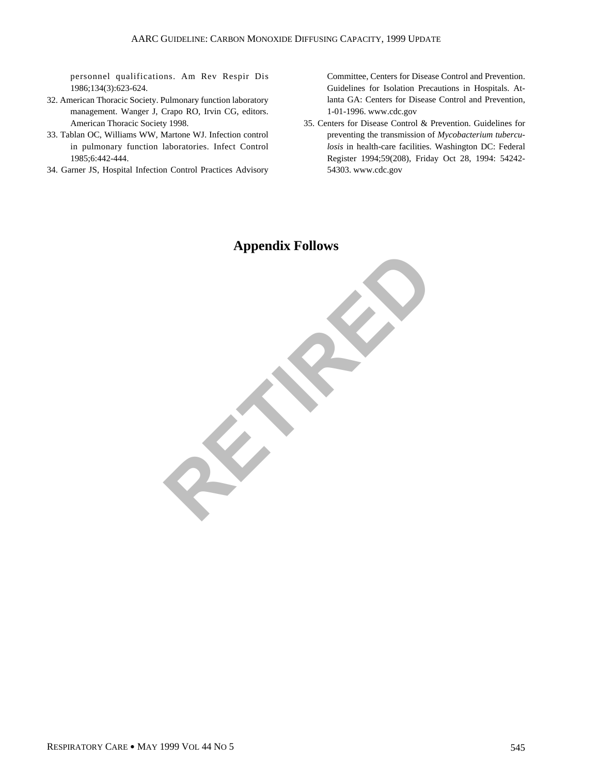personnel qualifications. Am Rev Respir Dis 1986;134(3):623-624.

- 32. American Thoracic Society. Pulmonary function laboratory management. Wanger J, Crapo RO, Irvin CG, editors. American Thoracic Society 1998.
- 33. Tablan OC, Williams WW, Martone WJ. Infection control in pulmonary function laboratories. Infect Control 1985;6:442-444.
- 34. Garner JS, Hospital Infection Control Practices Advisory

Committee, Centers for Disease Control and Prevention. Guidelines for Isolation Precautions in Hospitals. Atlanta GA: Centers for Disease Control and Prevention, 1-01-1996. www.cdc.gov

35. Centers for Disease Control & Prevention. Guidelines for preventing the transmission of *Mycobacterium tuberculosis* in health-care facilities. Washington DC: Federal Register 1994;59(208), Friday Oct 28, 1994: 54242- 54303. www.cdc.gov

## **Appendix Follows**

**RETIRED**